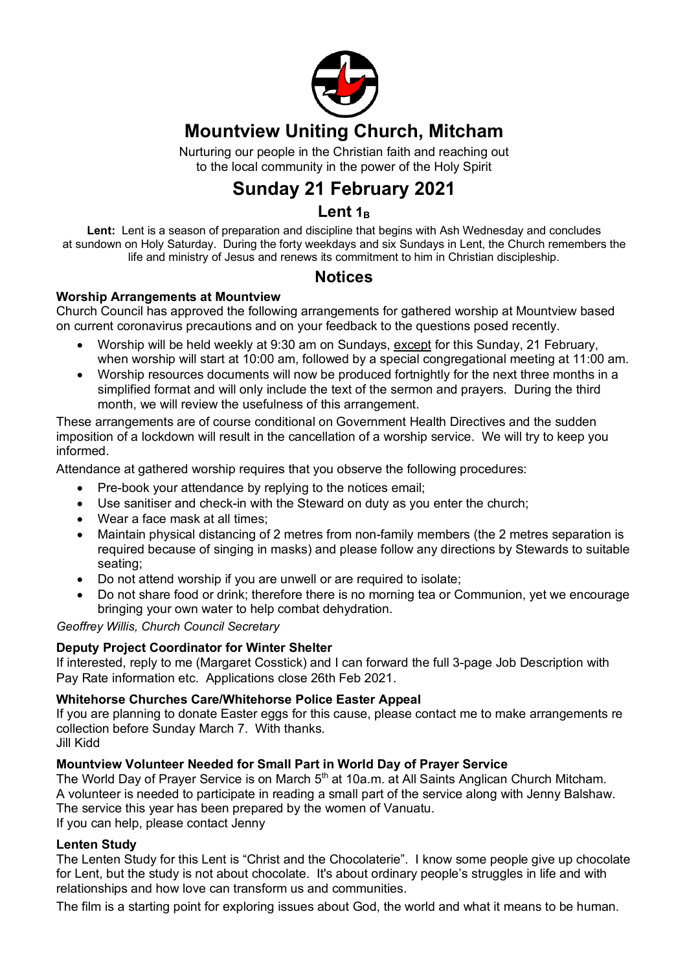

### **Mountview Uniting Church, Mitcham**

Nurturing our people in the Christian faith and reaching out to the local community in the power of the Holy Spirit

## **Sunday 21 February 2021**

#### Lent<sub>1B</sub>

**Lent:** Lent is a season of preparation and discipline that begins with Ash Wednesday and concludes at sundown on Holy Saturday. During the forty weekdays and six Sundays in Lent, the Church remembers the life and ministry of Jesus and renews its commitment to him in Christian discipleship.

#### **Notices**

#### **Worship Arrangements at Mountview**

Church Council has approved the following arrangements for gathered worship at Mountview based on current coronavirus precautions and on your feedback to the questions posed recently.

- Worship will be held weekly at 9:30 am on Sundays, except for this Sunday, 21 February, when worship will start at 10:00 am, followed by a special congregational meeting at 11:00 am.
- Worship resources documents will now be produced fortnightly for the next three months in a simplified format and will only include the text of the sermon and prayers. During the third month, we will review the usefulness of this arrangement.

These arrangements are of course conditional on Government Health Directives and the sudden imposition of a lockdown will result in the cancellation of a worship service. We will try to keep you informed.

Attendance at gathered worship requires that you observe the following procedures:

- Pre-book your attendance by replying to the notices email;
- Use sanitiser and check-in with the Steward on duty as you enter the church;
- Wear a face mask at all times;
- Maintain physical distancing of 2 metres from non-family members (the 2 metres separation is required because of singing in masks) and please follow any directions by Stewards to suitable seating;
- Do not attend worship if you are unwell or are required to isolate;
- Do not share food or drink; therefore there is no morning tea or Communion, yet we encourage bringing your own water to help combat dehydration.

*Geoffrey Willis, Church Council Secretary*

#### **Deputy Project Coordinator for Winter Shelter**

If interested, reply to me (Margaret Cosstick) and I can forward the full 3-page Job Description with Pay Rate information etc. Applications close 26th Feb 2021.

#### **Whitehorse Churches Care/Whitehorse Police Easter Appeal**

If you are planning to donate Easter eggs for this cause, please contact me to make arrangements re collection before Sunday March 7. With thanks.

Jill Kidd

#### **Mountview Volunteer Needed for Small Part in World Day of Prayer Service**

The World Day of Prayer Service is on March 5<sup>th</sup> at 10a.m. at All Saints Anglican Church Mitcham. A volunteer is needed to participate in reading a small part of the service along with Jenny Balshaw. The service this year has been prepared by the women of Vanuatu. If you can help, please contact Jenny

#### **Lenten Study**

The Lenten Study for this Lent is "Christ and the Chocolaterie". I know some people give up chocolate for Lent, but the study is not about chocolate. It's about ordinary people's struggles in life and with relationships and how love can transform us and communities.

The film is a starting point for exploring issues about God, the world and what it means to be human.